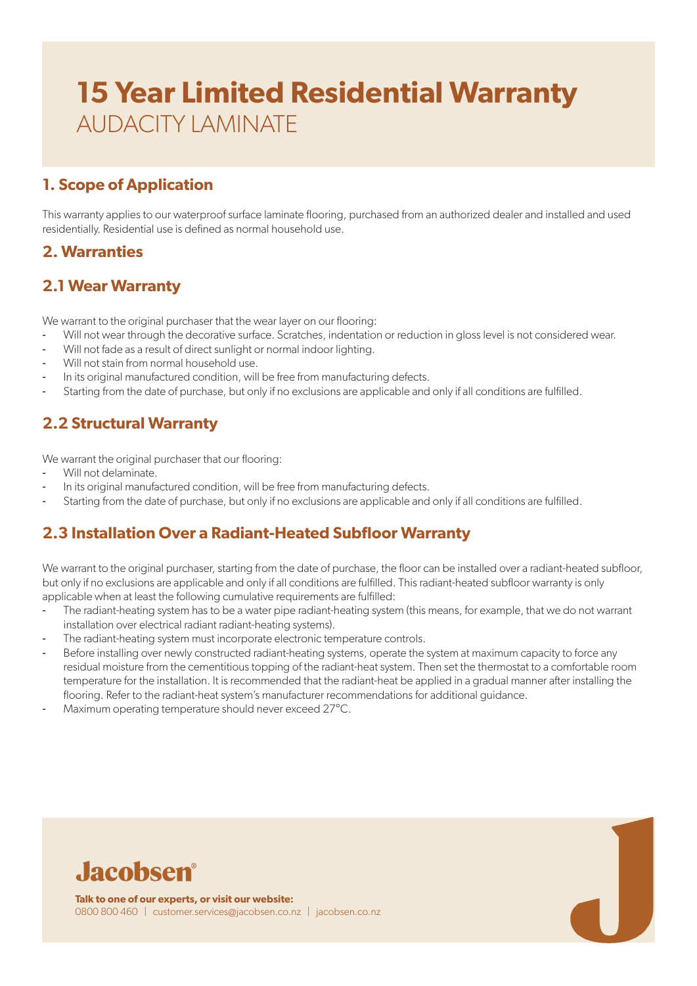## **1. Scope of Application**

This warranty applies to our waterproof surface laminate flooring, purchased from an authorized dealer and installed and used residentially. Residential use is defined as normal household use.

### **2. Warranties**

### **2.1 Wear Warranty**

We warrant to the original purchaser that the wear layer on our flooring:

- Will not wear through the decorative surface. Scratches, indentation or reduction in gloss level is not considered wear.
- Will not fade as a result of direct sunlight or normal indoor lighting.
- Will not stain from normal household use.
- In its original manufactured condition, will be free from manufacturing defects.
- Starting from the date of purchase, but only if no exclusions are applicable and only if all conditions are fulfilled.

## **2.2 Structural Warranty**

We warrant the original purchaser that our flooring:

- Will not delaminate.
- In its original manufactured condition, will be free from manufacturing defects.
- Starting from the date of purchase, but only if no exclusions are applicable and only if all conditions are fulfilled.

## **2.3 Installation Over a Radiant-Heated Subfloor Warranty**

We warrant to the original purchaser, starting from the date of purchase, the floor can be installed over a radiant-heated subfloor, but only if no exclusions are applicable and only if all conditions are fulfilled. This radiant-heated subfloor warranty is only applicable when at least the following cumulative requirements are fulfilled:

- The radiant-heating system has to be a water pipe radiant-heating system (this means, for example, that we do not warrant installation over electrical radiant radiant-heating systems).
- The radiant-heating system must incorporate electronic temperature controls.
- Before installing over newly constructed radiant-heating systems, operate the system at maximum capacity to force any residual moisture from the cementitious topping of the radiant-heat system. Then set the thermostat to a comfortable room temperature for the installation. It is recommended that the radiant-heat be applied in a gradual manner after installing the flooring. Refer to the radiant-heat system's manufacturer recommendations for additional guidance.
- Maximum operating temperature should never exceed 27°C.

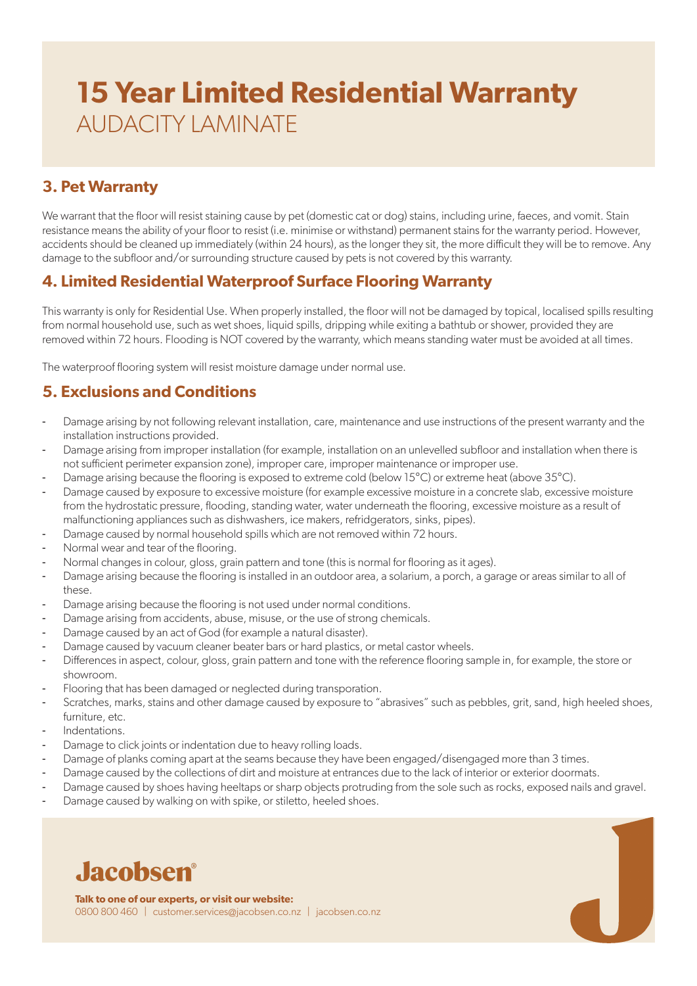## **3. Pet Warranty**

We warrant that the floor will resist staining cause by pet (domestic cat or dog) stains, including urine, faeces, and vomit. Stain resistance means the ability of your floor to resist (i.e. minimise or withstand) permanent stains for the warranty period. However, accidents should be cleaned up immediately (within 24 hours), as the longer they sit, the more difficult they will be to remove. Any damage to the subfloor and/or surrounding structure caused by pets is not covered by this warranty.

#### **4. Limited Residential Waterproof Surface Flooring Warranty**

This warranty is only for Residential Use. When properly installed, the floor will not be damaged by topical, localised spills resulting from normal household use, such as wet shoes, liquid spills, dripping while exiting a bathtub or shower, provided they are removed within 72 hours. Flooding is NOT covered by the warranty, which means standing water must be avoided at all times.

The waterproof flooring system will resist moisture damage under normal use.

## **5. Exclusions and Conditions**

- Damage arising by not following relevant installation, care, maintenance and use instructions of the present warranty and the installation instructions provided.
- Damage arising from improper installation (for example, installation on an unlevelled subfloor and installation when there is not sufficient perimeter expansion zone), improper care, improper maintenance or improper use.
- Damage arising because the flooring is exposed to extreme cold (below 15°C) or extreme heat (above 35°C).
- Damage caused by exposure to excessive moisture (for example excessive moisture in a concrete slab, excessive moisture from the hydrostatic pressure, flooding, standing water, water underneath the flooring, excessive moisture as a result of malfunctioning appliances such as dishwashers, ice makers, refridgerators, sinks, pipes).
- Damage caused by normal household spills which are not removed within 72 hours.
- Normal wear and tear of the flooring.
- Normal changes in colour, gloss, grain pattern and tone (this is normal for flooring as it ages).
- Damage arising because the flooring is installed in an outdoor area, a solarium, a porch, a garage or areas similar to all of these.
- Damage arising because the flooring is not used under normal conditions.
- Damage arising from accidents, abuse, misuse, or the use of strong chemicals.
- Damage caused by an act of God (for example a natural disaster).
- Damage caused by vacuum cleaner beater bars or hard plastics, or metal castor wheels.
- Differences in aspect, colour, gloss, grain pattern and tone with the reference flooring sample in, for example, the store or showroom.
- Flooring that has been damaged or neglected during transporation.
- Scratches, marks, stains and other damage caused by exposure to "abrasives" such as pebbles, grit, sand, high heeled shoes, furniture, etc.
- Indentations.
- Damage to click joints or indentation due to heavy rolling loads.
- Damage of planks coming apart at the seams because they have been engaged/disengaged more than 3 times.
- Damage caused by the collections of dirt and moisture at entrances due to the lack of interior or exterior doormats.
- Damage caused by shoes having heeltaps or sharp objects protruding from the sole such as rocks, exposed nails and gravel.
- Damage caused by walking on with spike, or stiletto, heeled shoes.



**Talk to one of our experts, or visit our website:** 0800 800 460 | customer.services@jacobsen.co.nz | jacobsen.co.nz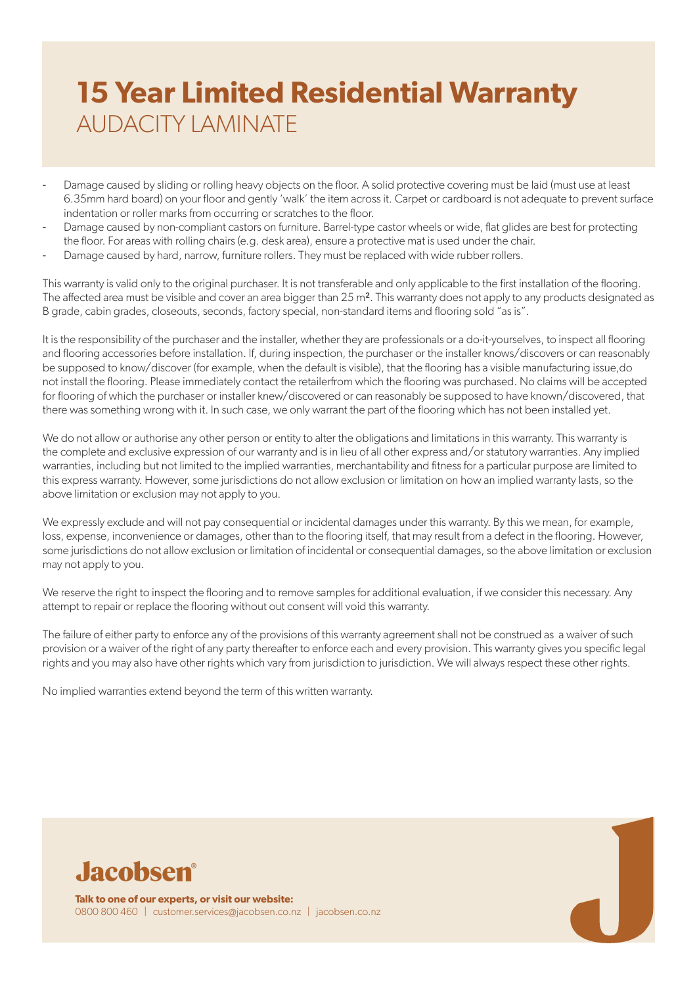- Damage caused by sliding or rolling heavy objects on the floor. A solid protective covering must be laid (must use at least 6.35mm hard board) on your floor and gently 'walk' the item across it. Carpet or cardboard is not adequate to prevent surface indentation or roller marks from occurring or scratches to the floor.
- Damage caused by non-compliant castors on furniture. Barrel-type castor wheels or wide, flat glides are best for protecting the floor. For areas with rolling chairs (e.g. desk area), ensure a protective mat is used under the chair.
- Damage caused by hard, narrow, furniture rollers. They must be replaced with wide rubber rollers.

This warranty is valid only to the original purchaser. It is not transferable and only applicable to the first installation of the flooring. The affected area must be visible and cover an area bigger than 25 m². This warranty does not apply to any products designated as B grade, cabin grades, closeouts, seconds, factory special, non-standard items and flooring sold "as is".

It is the responsibility of the purchaser and the installer, whether they are professionals or a do-it-yourselves, to inspect all flooring and flooring accessories before installation. If, during inspection, the purchaser or the installer knows/discovers or can reasonably be supposed to know/discover (for example, when the default is visible), that the flooring has a visible manufacturing issue,do not install the flooring. Please immediately contact the retailerfrom which the flooring was purchased. No claims will be accepted for flooring of which the purchaser or installer knew/discovered or can reasonably be supposed to have known/discovered, that there was something wrong with it. In such case, we only warrant the part of the flooring which has not been installed yet.

We do not allow or authorise any other person or entity to alter the obligations and limitations in this warranty. This warranty is the complete and exclusive expression of our warranty and is in lieu of all other express and/or statutory warranties. Any implied warranties, including but not limited to the implied warranties, merchantability and fitness for a particular purpose are limited to this express warranty. However, some jurisdictions do not allow exclusion or limitation on how an implied warranty lasts, so the above limitation or exclusion may not apply to you.

We expressly exclude and will not pay consequential or incidental damages under this warranty. By this we mean, for example, loss, expense, inconvenience or damages, other than to the flooring itself, that may result from a defect in the flooring. However, some jurisdictions do not allow exclusion or limitation of incidental or consequential damages, so the above limitation or exclusion may not apply to you.

We reserve the right to inspect the flooring and to remove samples for additional evaluation, if we consider this necessary. Any attempt to repair or replace the flooring without out consent will void this warranty.

The failure of either party to enforce any of the provisions of this warranty agreement shall not be construed as a waiver of such provision or a waiver of the right of any party thereafter to enforce each and every provision. This warranty gives you specific legal rights and you may also have other rights which vary from jurisdiction to jurisdiction. We will always respect these other rights.

No implied warranties extend beyond the term of this written warranty.